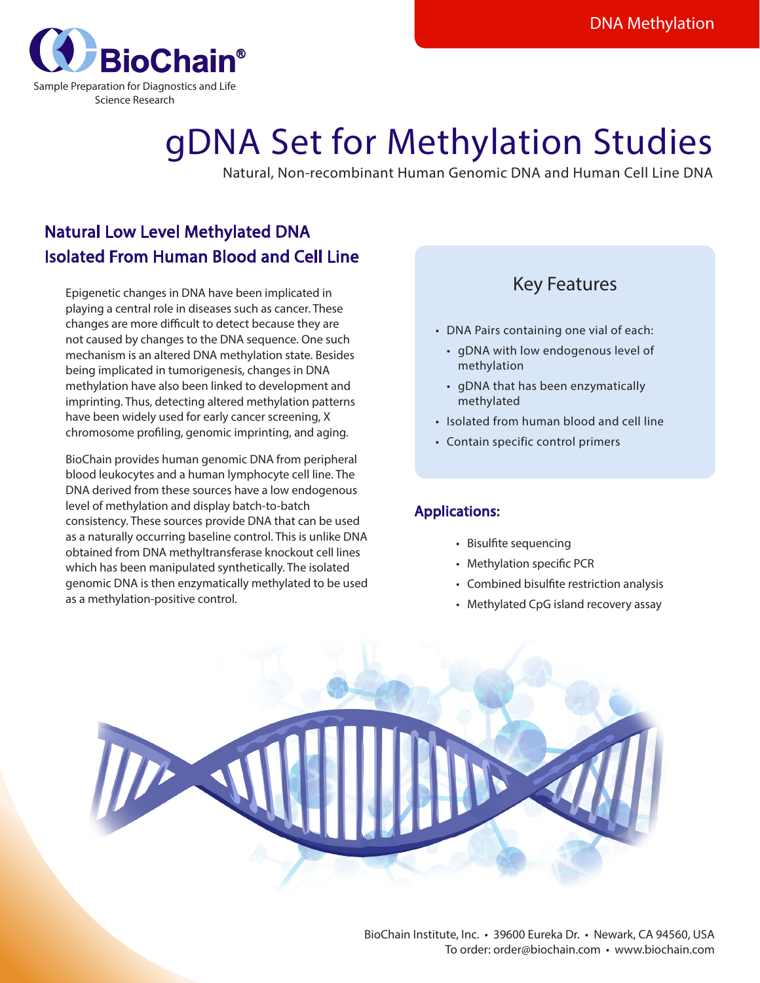

# gDNA Set for Methylation Studies

Natural, Non-recombinant Human Genomic DNA and Human Cell Line DNA

## Natural Low Level Methylated DNA Isolated From Human Blood and Cell Line

 Epigenetic changes in DNA have been implicated in playing a central role in diseases such as cancer. These changes are more difficult to detect because they are not caused by changes to the DNA sequence. One such mechanism is an altered DNA methylation state. Besides being implicated in tumorigenesis, changes in DNA methylation have also been linked to development and imprinting. Thus, detecting altered methylation patterns have been widely used for early cancer screening, X chromosome profiling, genomic imprinting, and aging.

BioChain provides human genomic DNA from peripheral blood leukocytes and a human lymphocyte cell line. The DNA derived from these sources have a low endogenous level of methylation and display batch-to-batch consistency. These sources provide DNA that can be used as a naturally occurring baseline control. This is unlike DNA obtained from DNA methyltransferase knockout cell lines which has been manipulated synthetically. The isolated genomic DNA is then enzymatically methylated to be used as a methylation-positive control.

## Key Features

- DNA Pairs containing one vial of each:
	- qDNA with low endogenous level of methylation
	- qDNA that has been enzymatically methylated
- Isolated from human blood and cell line
- Contain specific control primers

### Applications:

- Bisulfite sequencing
- Methylation specific PCR
- Combined bisulfite restriction analysis
- Methylated CpG island recovery assay